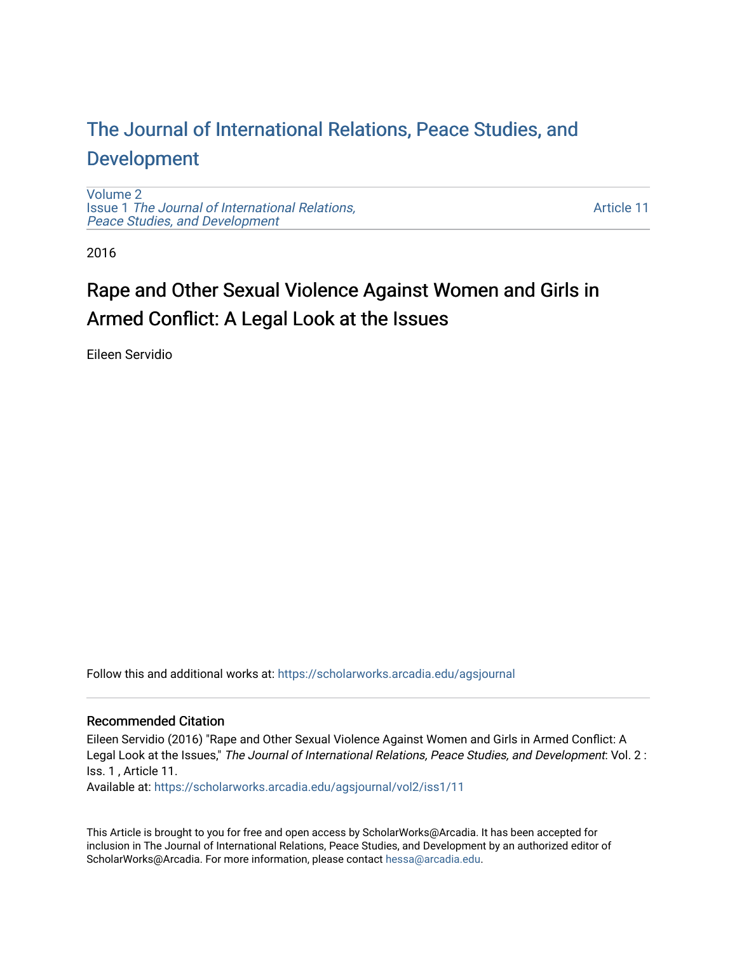## [The Journal of International Relations, Peace Studies, and](https://scholarworks.arcadia.edu/agsjournal)  [Development](https://scholarworks.arcadia.edu/agsjournal)

[Volume 2](https://scholarworks.arcadia.edu/agsjournal/vol2) Issue 1 [The Journal of International Relations,](https://scholarworks.arcadia.edu/agsjournal/vol2/iss1) [Peace Studies, and Development](https://scholarworks.arcadia.edu/agsjournal/vol2/iss1) 

[Article 11](https://scholarworks.arcadia.edu/agsjournal/vol2/iss1/11) 

2016

# Rape and Other Sexual Violence Against Women and Girls in Armed Conflict: A Legal Look at the Issues

Eileen Servidio

Follow this and additional works at: [https://scholarworks.arcadia.edu/agsjournal](https://scholarworks.arcadia.edu/agsjournal?utm_source=scholarworks.arcadia.edu%2Fagsjournal%2Fvol2%2Fiss1%2F11&utm_medium=PDF&utm_campaign=PDFCoverPages)

## Recommended Citation

Eileen Servidio (2016) "Rape and Other Sexual Violence Against Women and Girls in Armed Conflict: A Legal Look at the Issues," The Journal of International Relations, Peace Studies, and Development: Vol. 2: Iss. 1 , Article 11.

Available at: [https://scholarworks.arcadia.edu/agsjournal/vol2/iss1/11](https://scholarworks.arcadia.edu/agsjournal/vol2/iss1/11?utm_source=scholarworks.arcadia.edu%2Fagsjournal%2Fvol2%2Fiss1%2F11&utm_medium=PDF&utm_campaign=PDFCoverPages)

This Article is brought to you for free and open access by ScholarWorks@Arcadia. It has been accepted for inclusion in The Journal of International Relations, Peace Studies, and Development by an authorized editor of ScholarWorks@Arcadia. For more information, please contact [hessa@arcadia.edu](mailto:hessa@arcadia.edu).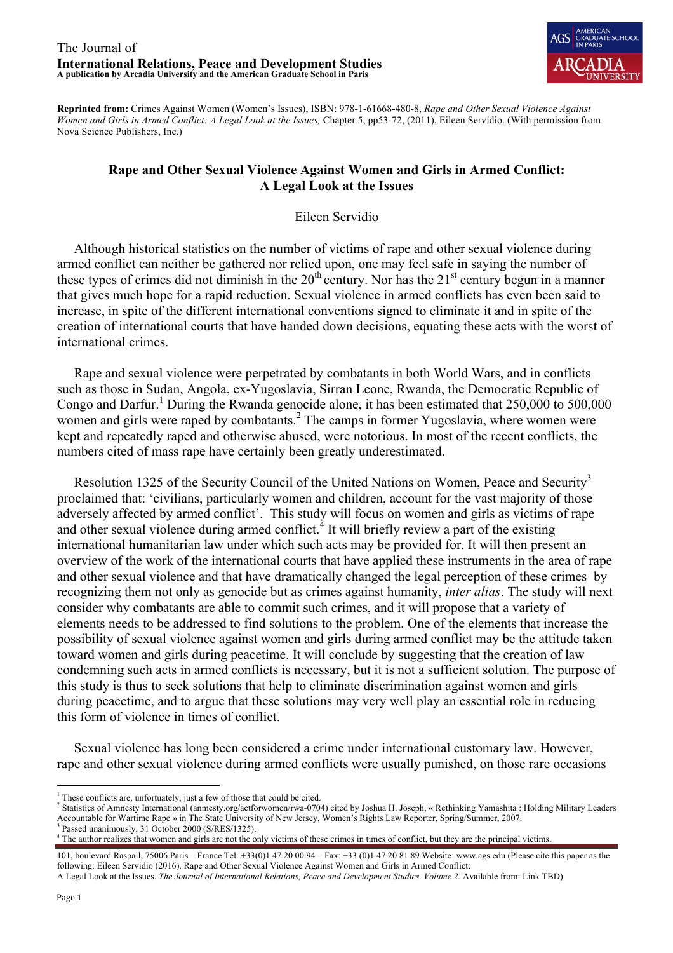

**Reprinted from:** Crimes Against Women (Women's Issues), ISBN: 978-1-61668-480-8, *Rape and Other Sexual Violence Against Women and Girls in Armed Conflict: A Legal Look at the Issues,* Chapter 5, pp53-72, (2011), Eileen Servidio. (With permission from Nova Science Publishers, Inc.)

## **Rape and Other Sexual Violence Against Women and Girls in Armed Conflict: A Legal Look at the Issues**

Eileen Servidio

 Although historical statistics on the number of victims of rape and other sexual violence during armed conflict can neither be gathered nor relied upon, one may feel safe in saying the number of these types of crimes did not diminish in the  $20<sup>th</sup>$  century. Nor has the  $21<sup>st</sup>$  century begun in a manner that gives much hope for a rapid reduction. Sexual violence in armed conflicts has even been said to increase, in spite of the different international conventions signed to eliminate it and in spite of the creation of international courts that have handed down decisions, equating these acts with the worst of international crimes.

 Rape and sexual violence were perpetrated by combatants in both World Wars, and in conflicts such as those in Sudan, Angola, ex-Yugoslavia, Sirran Leone, Rwanda, the Democratic Republic of Congo and Darfur.<sup>1</sup> During the Rwanda genocide alone, it has been estimated that  $250,000$  to  $500,000$ women and girls were raped by combatants.<sup>2</sup> The camps in former Yugoslavia, where women were kept and repeatedly raped and otherwise abused, were notorious. In most of the recent conflicts, the numbers cited of mass rape have certainly been greatly underestimated.

Resolution 1325 of the Security Council of the United Nations on Women, Peace and Security<sup>3</sup> proclaimed that: 'civilians, particularly women and children, account for the vast majority of those adversely affected by armed conflict'. This study will focus on women and girls as victims of rape and other sexual violence during armed conflict.<sup> $4$ </sup> It will briefly review a part of the existing international humanitarian law under which such acts may be provided for. It will then present an overview of the work of the international courts that have applied these instruments in the area of rape and other sexual violence and that have dramatically changed the legal perception of these crimes by recognizing them not only as genocide but as crimes against humanity, *inter alias*. The study will next consider why combatants are able to commit such crimes, and it will propose that a variety of elements needs to be addressed to find solutions to the problem. One of the elements that increase the possibility of sexual violence against women and girls during armed conflict may be the attitude taken toward women and girls during peacetime. It will conclude by suggesting that the creation of law condemning such acts in armed conflicts is necessary, but it is not a sufficient solution. The purpose of this study is thus to seek solutions that help to eliminate discrimination against women and girls during peacetime, and to argue that these solutions may very well play an essential role in reducing this form of violence in times of conflict.

 Sexual violence has long been considered a crime under international customary law. However, rape and other sexual violence during armed conflicts were usually punished, on those rare occasions

<sup>&</sup>lt;sup>1</sup> These conflicts are, unfortuately, just a few of those that could be cited.

<sup>2</sup> Statistics of Amnesty International (anmesty.org/actforwomen/rwa-0704) cited by Joshua H. Joseph, « Rethinking Yamashita : Holding Military Leaders Accountable for Wartime Rape » in The State University of New Jersey, Women's Rights Law Reporter, Spring/Summer, 2007.

<sup>&</sup>lt;sup>4</sup> The author realizes that women and girls are not the only victims of these crimes in times of conflict, but they are the principal victims

<sup>101,</sup> boulevard Raspail, 75006 Paris – France Tel: +33(0)1 47 20 00 94 – Fax: +33 (0)1 47 20 81 89 Website: www.ags.edu (Please cite this paper as the following: Eileen Servidio (2016). Rape and Other Sexual Violence Against Women and Girls in Armed Conflict:

A Legal Look at the Issues. *The Journal of International Relations, Peace and Development Studies. Volume 2.* Available from: Link TBD)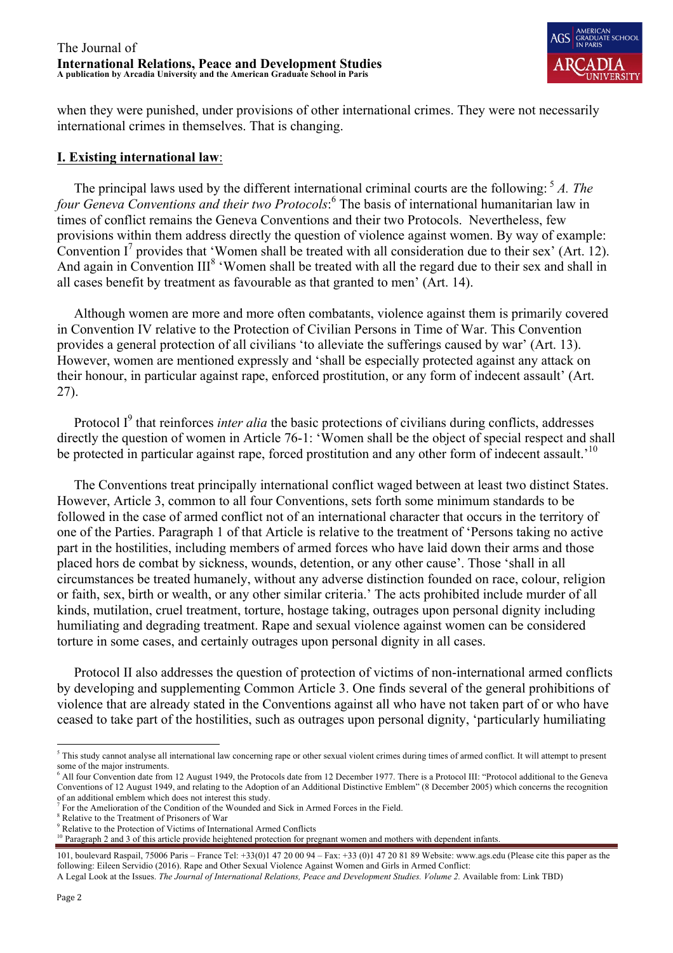

when they were punished, under provisions of other international crimes. They were not necessarily international crimes in themselves. That is changing.

## **I. Existing international law**:

 The principal laws used by the different international criminal courts are the following: <sup>5</sup> *A. The four Geneva Conventions and their two Protocols*: <sup>6</sup> The basis of international humanitarian law in times of conflict remains the Geneva Conventions and their two Protocols. Nevertheless, few provisions within them address directly the question of violence against women. By way of example: Convention  $I^7$  provides that 'Women shall be treated with all consideration due to their sex' (Art. 12). And again in Convention III<sup>8</sup> 'Women shall be treated with all the regard due to their sex and shall in all cases benefit by treatment as favourable as that granted to men' (Art. 14).

 Although women are more and more often combatants, violence against them is primarily covered in Convention IV relative to the Protection of Civilian Persons in Time of War. This Convention provides a general protection of all civilians 'to alleviate the sufferings caused by war' (Art. 13). However, women are mentioned expressly and 'shall be especially protected against any attack on their honour, in particular against rape, enforced prostitution, or any form of indecent assault' (Art. 27).

Protocol I<sup>9</sup> that reinforces *inter alia* the basic protections of civilians during conflicts, addresses directly the question of women in Article 76-1: 'Women shall be the object of special respect and shall be protected in particular against rape, forced prostitution and any other form of indecent assault.<sup>'10</sup>

 The Conventions treat principally international conflict waged between at least two distinct States. However, Article 3, common to all four Conventions, sets forth some minimum standards to be followed in the case of armed conflict not of an international character that occurs in the territory of one of the Parties. Paragraph 1 of that Article is relative to the treatment of 'Persons taking no active part in the hostilities, including members of armed forces who have laid down their arms and those placed hors de combat by sickness, wounds, detention, or any other cause'. Those 'shall in all circumstances be treated humanely, without any adverse distinction founded on race, colour, religion or faith, sex, birth or wealth, or any other similar criteria.' The acts prohibited include murder of all kinds, mutilation, cruel treatment, torture, hostage taking, outrages upon personal dignity including humiliating and degrading treatment. Rape and sexual violence against women can be considered torture in some cases, and certainly outrages upon personal dignity in all cases.

 Protocol II also addresses the question of protection of victims of non-international armed conflicts by developing and supplementing Common Article 3. One finds several of the general prohibitions of violence that are already stated in the Conventions against all who have not taken part of or who have ceased to take part of the hostilities, such as outrages upon personal dignity, 'particularly humiliating

<sup>&</sup>lt;sup>5</sup> This study cannot analyse all international law concerning rape or other sexual violent crimes during times of armed conflict. It will attempt to present some of the major instruments.

<sup>&</sup>lt;sup>6</sup> All four Convention date from 12 August 1949, the Protocols date from 12 December 1977. There is a Protocol III: "Protocol additional to the Geneva Conventions of 12 August 1949, and relating to the Adoption of an Additional Distinctive Emblem" (8 December 2005) which concerns the recognition of an additional emblem which does not interest this study.

<sup>7</sup> For the Amelioration of the Condition of the Wounded and Sick in Armed Forces in the Field.

<sup>8</sup> Relative to the Treatment of Prisoners of War

<sup>&</sup>lt;sup>9</sup> Relative to the Protection of Victims of International Armed Conflicts

 $10$  Paragraph 2 and 3 of this article provide heightened protection for pregnant women and mothers with dependent infants.

<sup>101,</sup> boulevard Raspail, 75006 Paris – France Tel: +33(0)1 47 20 00 94 – Fax: +33 (0)1 47 20 81 89 Website: www.ags.edu (Please cite this paper as the following: Eileen Servidio (2016). Rape and Other Sexual Violence Against Women and Girls in Armed Conflict:

A Legal Look at the Issues. *The Journal of International Relations, Peace and Development Studies. Volume 2.* Available from: Link TBD)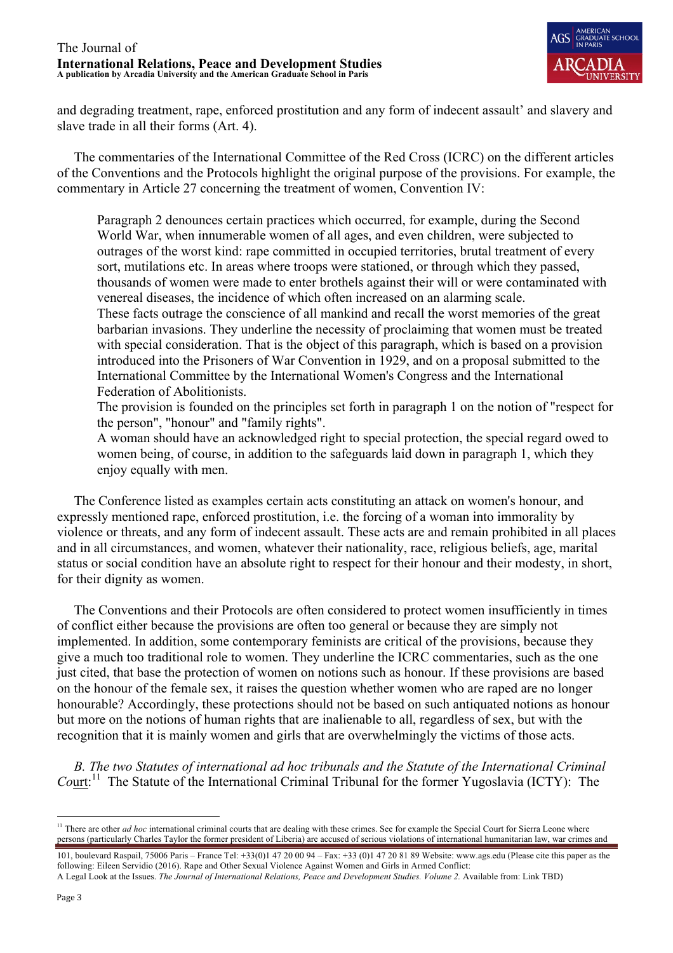

and degrading treatment, rape, enforced prostitution and any form of indecent assault' and slavery and slave trade in all their forms (Art. 4).

 The commentaries of the International Committee of the Red Cross (ICRC) on the different articles of the Conventions and the Protocols highlight the original purpose of the provisions. For example, the commentary in Article 27 concerning the treatment of women, Convention IV:

Paragraph 2 denounces certain practices which occurred, for example, during the Second World War, when innumerable women of all ages, and even children, were subjected to outrages of the worst kind: rape committed in occupied territories, brutal treatment of every sort, mutilations etc. In areas where troops were stationed, or through which they passed, thousands of women were made to enter brothels against their will or were contaminated with venereal diseases, the incidence of which often increased on an alarming scale.

These facts outrage the conscience of all mankind and recall the worst memories of the great barbarian invasions. They underline the necessity of proclaiming that women must be treated with special consideration. That is the object of this paragraph, which is based on a provision introduced into the Prisoners of War Convention in 1929, and on a proposal submitted to the International Committee by the International Women's Congress and the International Federation of Abolitionists.

The provision is founded on the principles set forth in paragraph 1 on the notion of "respect for the person", "honour" and "family rights".

A woman should have an acknowledged right to special protection, the special regard owed to women being, of course, in addition to the safeguards laid down in paragraph 1, which they enjoy equally with men.

 The Conference listed as examples certain acts constituting an attack on women's honour, and expressly mentioned rape, enforced prostitution, i.e. the forcing of a woman into immorality by violence or threats, and any form of indecent assault. These acts are and remain prohibited in all places and in all circumstances, and women, whatever their nationality, race, religious beliefs, age, marital status or social condition have an absolute right to respect for their honour and their modesty, in short, for their dignity as women.

 The Conventions and their Protocols are often considered to protect women insufficiently in times of conflict either because the provisions are often too general or because they are simply not implemented. In addition, some contemporary feminists are critical of the provisions, because they give a much too traditional role to women. They underline the ICRC commentaries, such as the one just cited, that base the protection of women on notions such as honour. If these provisions are based on the honour of the female sex, it raises the question whether women who are raped are no longer honourable? Accordingly, these protections should not be based on such antiquated notions as honour but more on the notions of human rights that are inalienable to all, regardless of sex, but with the recognition that it is mainly women and girls that are overwhelmingly the victims of those acts.

 *B. The two Statutes of international ad hoc tribunals and the Statute of the International Criminal*  Court:<sup>11</sup> The Statute of the International Criminal Tribunal for the former Yugoslavia (ICTY): The

<sup>&</sup>lt;sup>11</sup> There are other *ad hoc* international criminal courts that are dealing with these crimes. See for example the Special Court for Sierra Leone where persons (particularly Charles Taylor the former president of Liberia) are accused of serious violations of international humanitarian law, war crimes and

<sup>101,</sup> boulevard Raspail, 75006 Paris – France Tel: +33(0)1 47 20 00 94 – Fax: +33 (0)1 47 20 81 89 Website: www.ags.edu (Please cite this paper as the following: Eileen Servidio (2016). Rape and Other Sexual Violence Against Women and Girls in Armed Conflict: A Legal Look at the Issues. *The Journal of International Relations, Peace and Development Studies. Volume 2.* Available from: Link TBD)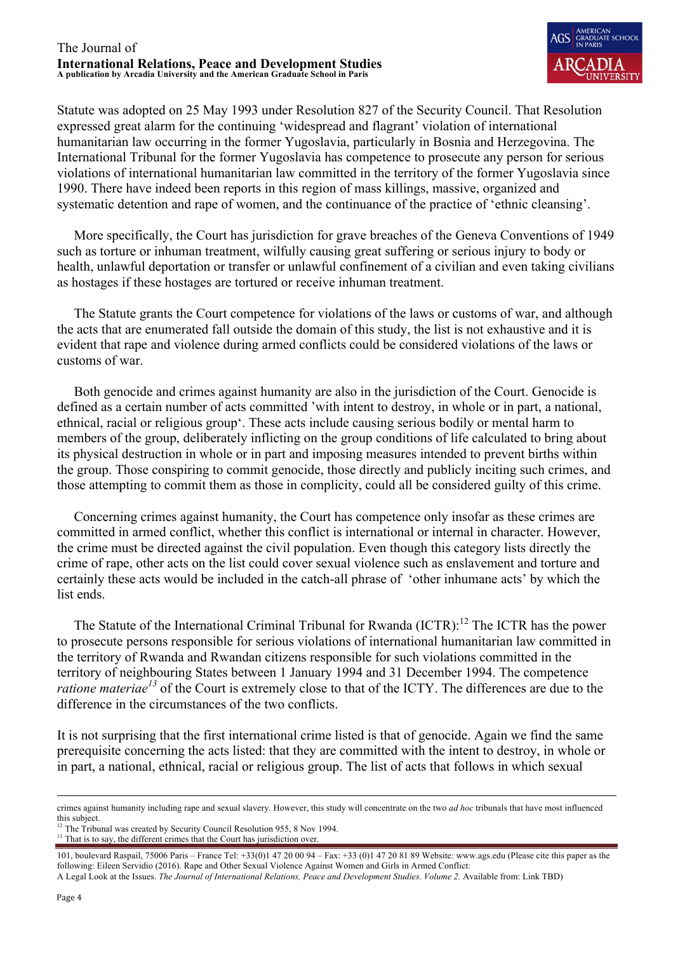

Statute was adopted on 25 May 1993 under Resolution 827 of the Security Council. That Resolution expressed great alarm for the continuing 'widespread and flagrant' violation of international humanitarian law occurring in the former Yugoslavia, particularly in Bosnia and Herzegovina. The International Tribunal for the former Yugoslavia has competence to prosecute any person for serious violations of international humanitarian law committed in the territory of the former Yugoslavia since 1990. There have indeed been reports in this region of mass killings, massive, organized and systematic detention and rape of women, and the continuance of the practice of 'ethnic cleansing'.

 More specifically, the Court has jurisdiction for grave breaches of the Geneva Conventions of 1949 such as torture or inhuman treatment, wilfully causing great suffering or serious injury to body or health, unlawful deportation or transfer or unlawful confinement of a civilian and even taking civilians as hostages if these hostages are tortured or receive inhuman treatment.

 The Statute grants the Court competence for violations of the laws or customs of war, and although the acts that are enumerated fall outside the domain of this study, the list is not exhaustive and it is evident that rape and violence during armed conflicts could be considered violations of the laws or customs of war.

 Both genocide and crimes against humanity are also in the jurisdiction of the Court. Genocide is defined as a certain number of acts committed 'with intent to destroy, in whole or in part, a national, ethnical, racial or religious group'. These acts include causing serious bodily or mental harm to members of the group, deliberately inflicting on the group conditions of life calculated to bring about its physical destruction in whole or in part and imposing measures intended to prevent births within the group. Those conspiring to commit genocide, those directly and publicly inciting such crimes, and those attempting to commit them as those in complicity, could all be considered guilty of this crime.

 Concerning crimes against humanity, the Court has competence only insofar as these crimes are committed in armed conflict, whether this conflict is international or internal in character. However, the crime must be directed against the civil population. Even though this category lists directly the crime of rape, other acts on the list could cover sexual violence such as enslavement and torture and certainly these acts would be included in the catch-all phrase of 'other inhumane acts' by which the list ends.

The Statute of the International Criminal Tribunal for Rwanda (ICTR):<sup>12</sup> The ICTR has the power to prosecute persons responsible for serious violations of international humanitarian law committed in the territory of Rwanda and Rwandan citizens responsible for such violations committed in the territory of neighbouring States between 1 January 1994 and 31 December 1994. The competence *ratione materiae*<sup>13</sup> of the Court is extremely close to that of the ICTY. The differences are due to the difference in the circumstances of the two conflicts.

It is not surprising that the first international crime listed is that of genocide. Again we find the same prerequisite concerning the acts listed: that they are committed with the intent to destroy, in whole or in part, a national, ethnical, racial or religious group. The list of acts that follows in which sexual

crimes against humanity including rape and sexual slavery. However, this study will concentrate on the two *ad hoc* tribunals that have most influenced this subject.

<sup>&</sup>lt;sup>12</sup> The Tribunal was created by Security Council Resolution 955, 8 Nov 1994.

<sup>&</sup>lt;sup>13</sup> That is to say, the different crimes that the Court has jurisdiction over.

<sup>101,</sup> boulevard Raspail, 75006 Paris – France Tel: +33(0)1 47 20 00 94 – Fax: +33 (0)1 47 20 81 89 Website: www.ags.edu (Please cite this paper as the following: Eileen Servidio (2016). Rape and Other Sexual Violence Against Women and Girls in Armed Conflict: A Legal Look at the Issues. *The Journal of International Relations, Peace and Development Studies. Volume 2.* Available from: Link TBD)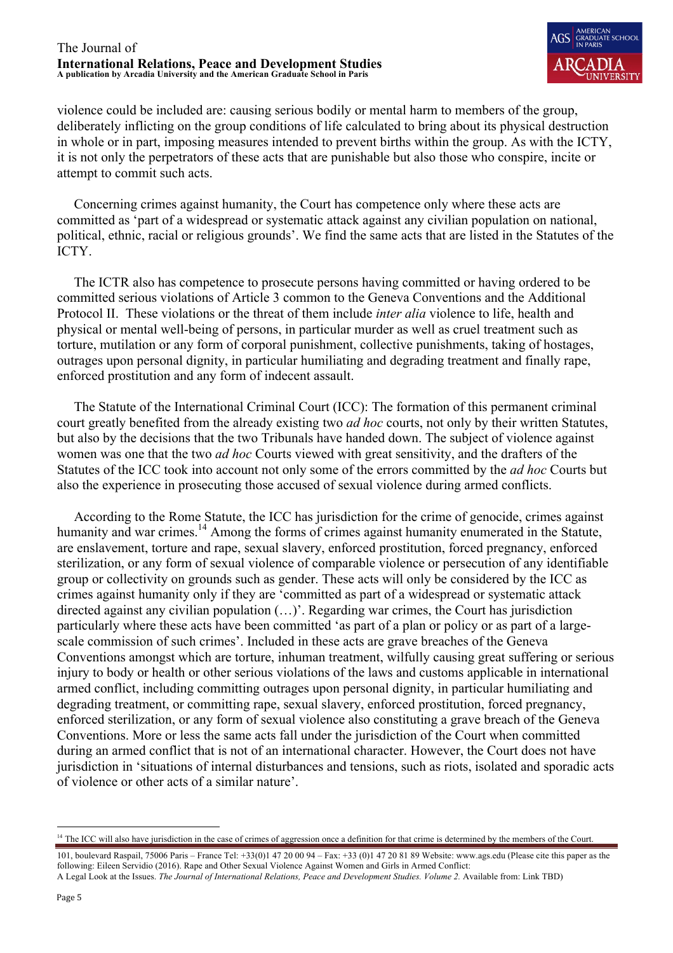

violence could be included are: causing serious bodily or mental harm to members of the group, deliberately inflicting on the group conditions of life calculated to bring about its physical destruction in whole or in part, imposing measures intended to prevent births within the group. As with the ICTY, it is not only the perpetrators of these acts that are punishable but also those who conspire, incite or attempt to commit such acts.

 Concerning crimes against humanity, the Court has competence only where these acts are committed as 'part of a widespread or systematic attack against any civilian population on national, political, ethnic, racial or religious grounds'. We find the same acts that are listed in the Statutes of the ICTY.

 The ICTR also has competence to prosecute persons having committed or having ordered to be committed serious violations of Article 3 common to the Geneva Conventions and the Additional Protocol II. These violations or the threat of them include *inter alia* violence to life, health and physical or mental well-being of persons, in particular murder as well as cruel treatment such as torture, mutilation or any form of corporal punishment, collective punishments, taking of hostages, outrages upon personal dignity, in particular humiliating and degrading treatment and finally rape, enforced prostitution and any form of indecent assault.

 The Statute of the International Criminal Court (ICC): The formation of this permanent criminal court greatly benefited from the already existing two *ad hoc* courts, not only by their written Statutes, but also by the decisions that the two Tribunals have handed down. The subject of violence against women was one that the two *ad hoc* Courts viewed with great sensitivity, and the drafters of the Statutes of the ICC took into account not only some of the errors committed by the *ad hoc* Courts but also the experience in prosecuting those accused of sexual violence during armed conflicts.

 According to the Rome Statute, the ICC has jurisdiction for the crime of genocide, crimes against humanity and war crimes.<sup>14</sup> Among the forms of crimes against humanity enumerated in the Statute, are enslavement, torture and rape, sexual slavery, enforced prostitution, forced pregnancy, enforced sterilization, or any form of sexual violence of comparable violence or persecution of any identifiable group or collectivity on grounds such as gender. These acts will only be considered by the ICC as crimes against humanity only if they are 'committed as part of a widespread or systematic attack directed against any civilian population (…)'. Regarding war crimes, the Court has jurisdiction particularly where these acts have been committed 'as part of a plan or policy or as part of a largescale commission of such crimes'. Included in these acts are grave breaches of the Geneva Conventions amongst which are torture, inhuman treatment, wilfully causing great suffering or serious injury to body or health or other serious violations of the laws and customs applicable in international armed conflict, including committing outrages upon personal dignity, in particular humiliating and degrading treatment, or committing rape, sexual slavery, enforced prostitution, forced pregnancy, enforced sterilization, or any form of sexual violence also constituting a grave breach of the Geneva Conventions. More or less the same acts fall under the jurisdiction of the Court when committed during an armed conflict that is not of an international character. However, the Court does not have jurisdiction in 'situations of internal disturbances and tensions, such as riots, isolated and sporadic acts of violence or other acts of a similar nature'.

<sup>&</sup>lt;sup>14</sup> The ICC will also have jurisdiction in the case of crimes of aggression once a definition for that crime is determined by the members of the Court.

<sup>101,</sup> boulevard Raspail, 75006 Paris – France Tel: +33(0)1 47 20 00 94 – Fax: +33 (0)1 47 20 81 89 Website: www.ags.edu (Please cite this paper as the following: Eileen Servidio (2016). Rape and Other Sexual Violence Against Women and Girls in Armed Conflict: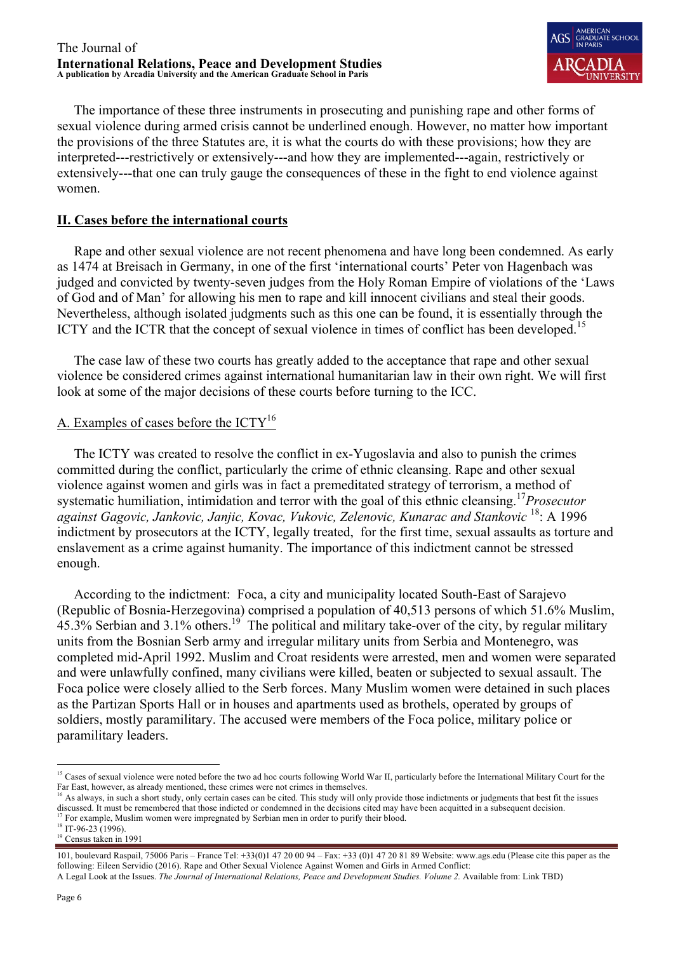

 The importance of these three instruments in prosecuting and punishing rape and other forms of sexual violence during armed crisis cannot be underlined enough. However, no matter how important the provisions of the three Statutes are, it is what the courts do with these provisions; how they are interpreted---restrictively or extensively---and how they are implemented---again, restrictively or extensively---that one can truly gauge the consequences of these in the fight to end violence against women.

## **II. Cases before the international courts**

 Rape and other sexual violence are not recent phenomena and have long been condemned. As early as 1474 at Breisach in Germany, in one of the first 'international courts' Peter von Hagenbach was judged and convicted by twenty-seven judges from the Holy Roman Empire of violations of the 'Laws of God and of Man' for allowing his men to rape and kill innocent civilians and steal their goods. Nevertheless, although isolated judgments such as this one can be found, it is essentially through the ICTY and the ICTR that the concept of sexual violence in times of conflict has been developed.<sup>15</sup>

 The case law of these two courts has greatly added to the acceptance that rape and other sexual violence be considered crimes against international humanitarian law in their own right. We will first look at some of the major decisions of these courts before turning to the ICC.

## A. Examples of cases before the  $\text{ICTY}^{16}$

 The ICTY was created to resolve the conflict in ex-Yugoslavia and also to punish the crimes committed during the conflict, particularly the crime of ethnic cleansing. Rape and other sexual violence against women and girls was in fact a premeditated strategy of terrorism, a method of systematic humiliation, intimidation and terror with the goal of this ethnic cleansing.<sup>17</sup>*Prosecutor against Gagovic, Jankovic, Janjic, Kovac, Vukovic, Zelenovic, Kunarac and Stankovic* 18: A 1996 indictment by prosecutors at the ICTY, legally treated, for the first time, sexual assaults as torture and enslavement as a crime against humanity. The importance of this indictment cannot be stressed enough.

 According to the indictment: Foca, a city and municipality located South-East of Sarajevo (Republic of Bosnia-Herzegovina) comprised a population of 40,513 persons of which 51.6% Muslim,  $45.3\%$  Serbian and 3.1% others.<sup>19</sup> The political and military take-over of the city, by regular military units from the Bosnian Serb army and irregular military units from Serbia and Montenegro, was completed mid-April 1992. Muslim and Croat residents were arrested, men and women were separated and were unlawfully confined, many civilians were killed, beaten or subjected to sexual assault. The Foca police were closely allied to the Serb forces. Many Muslim women were detained in such places as the Partizan Sports Hall or in houses and apartments used as brothels, operated by groups of soldiers, mostly paramilitary. The accused were members of the Foca police, military police or paramilitary leaders.

<sup>&</sup>lt;sup>15</sup> Cases of sexual violence were noted before the two ad hoc courts following World War II, particularly before the International Military Court for the Far East, however, as already mentioned, these crimes were not crimes in themselves.

<sup>&</sup>lt;sup>16</sup> As always, in such a short study, only certain cases can be cited. This study will only provide those indictments or judgments that best fit the issues discussed. It must be remembered that those indicted or condemned in the decisions cited may have been acquitted in a subsequent decision.

<sup>&</sup>lt;sup>17</sup> For example, Muslim women were impregnated by Serbian men in order to purify their blood.

<sup>&</sup>lt;sup>18</sup> IT-96-23 (1996).

<sup>&</sup>lt;sup>19</sup> Census taken in 1991

<sup>101,</sup> boulevard Raspail, 75006 Paris – France Tel: +33(0)1 47 20 00 94 – Fax: +33 (0)1 47 20 81 89 Website: www.ags.edu (Please cite this paper as the following: Eileen Servidio (2016). Rape and Other Sexual Violence Against Women and Girls in Armed Conflict: A Legal Look at the Issues. *The Journal of International Relations, Peace and Development Studies. Volume 2.* Available from: Link TBD)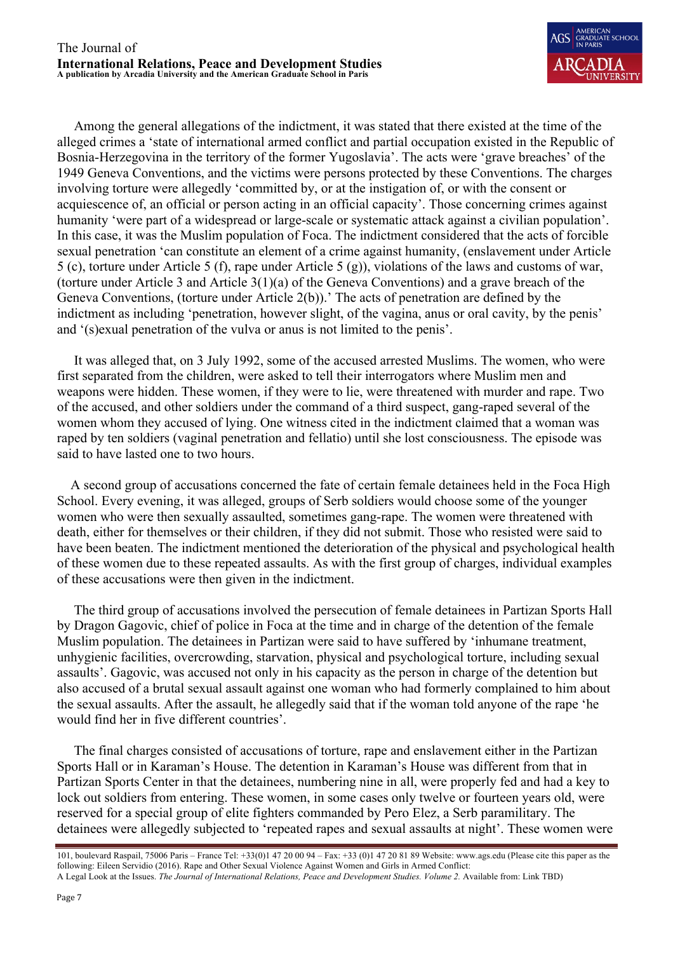

 Among the general allegations of the indictment, it was stated that there existed at the time of the alleged crimes a 'state of international armed conflict and partial occupation existed in the Republic of Bosnia-Herzegovina in the territory of the former Yugoslavia'. The acts were 'grave breaches' of the 1949 Geneva Conventions, and the victims were persons protected by these Conventions. The charges involving torture were allegedly 'committed by, or at the instigation of, or with the consent or acquiescence of, an official or person acting in an official capacity'. Those concerning crimes against humanity 'were part of a widespread or large-scale or systematic attack against a civilian population'. In this case, it was the Muslim population of Foca. The indictment considered that the acts of forcible sexual penetration 'can constitute an element of a crime against humanity, (enslavement under Article 5 (c), torture under Article 5 (f), rape under Article 5 (g)), violations of the laws and customs of war, (torture under Article 3 and Article 3(1)(a) of the Geneva Conventions) and a grave breach of the Geneva Conventions, (torture under Article 2(b)).' The acts of penetration are defined by the indictment as including 'penetration, however slight, of the vagina, anus or oral cavity, by the penis' and '(s)exual penetration of the vulva or anus is not limited to the penis'.

 It was alleged that, on 3 July 1992, some of the accused arrested Muslims. The women, who were first separated from the children, were asked to tell their interrogators where Muslim men and weapons were hidden. These women, if they were to lie, were threatened with murder and rape. Two of the accused, and other soldiers under the command of a third suspect, gang-raped several of the women whom they accused of lying. One witness cited in the indictment claimed that a woman was raped by ten soldiers (vaginal penetration and fellatio) until she lost consciousness. The episode was said to have lasted one to two hours.

 A second group of accusations concerned the fate of certain female detainees held in the Foca High School. Every evening, it was alleged, groups of Serb soldiers would choose some of the younger women who were then sexually assaulted, sometimes gang-rape. The women were threatened with death, either for themselves or their children, if they did not submit. Those who resisted were said to have been beaten. The indictment mentioned the deterioration of the physical and psychological health of these women due to these repeated assaults. As with the first group of charges, individual examples of these accusations were then given in the indictment.

 The third group of accusations involved the persecution of female detainees in Partizan Sports Hall by Dragon Gagovic, chief of police in Foca at the time and in charge of the detention of the female Muslim population. The detainees in Partizan were said to have suffered by 'inhumane treatment, unhygienic facilities, overcrowding, starvation, physical and psychological torture, including sexual assaults'. Gagovic, was accused not only in his capacity as the person in charge of the detention but also accused of a brutal sexual assault against one woman who had formerly complained to him about the sexual assaults. After the assault, he allegedly said that if the woman told anyone of the rape 'he would find her in five different countries'.

 The final charges consisted of accusations of torture, rape and enslavement either in the Partizan Sports Hall or in Karaman's House. The detention in Karaman's House was different from that in Partizan Sports Center in that the detainees, numbering nine in all, were properly fed and had a key to lock out soldiers from entering. These women, in some cases only twelve or fourteen years old, were reserved for a special group of elite fighters commanded by Pero Elez, a Serb paramilitary. The detainees were allegedly subjected to 'repeated rapes and sexual assaults at night'. These women were

<sup>101,</sup> boulevard Raspail, 75006 Paris – France Tel: +33(0)1 47 20 00 94 – Fax: +33 (0)1 47 20 81 89 Website: www.ags.edu (Please cite this paper as the following: Eileen Servidio (2016). Rape and Other Sexual Violence Against Women and Girls in Armed Conflict: A Legal Look at the Issues. *The Journal of International Relations, Peace and Development Studies. Volume 2.* Available from: Link TBD)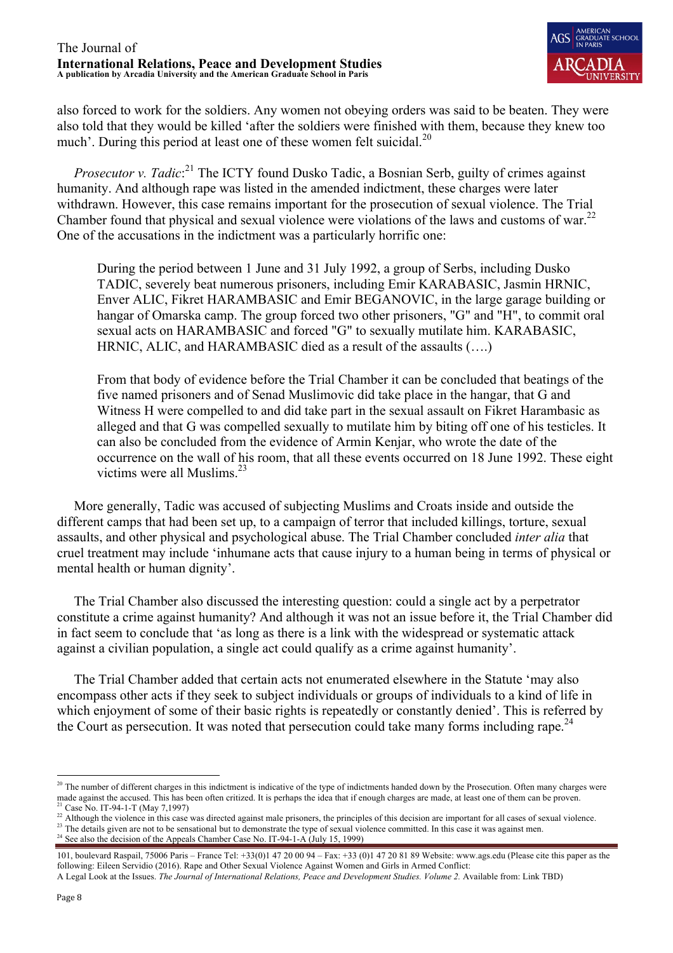

also forced to work for the soldiers. Any women not obeying orders was said to be beaten. They were also told that they would be killed 'after the soldiers were finished with them, because they knew too much'. During this period at least one of these women felt suicidal.<sup>20</sup>

*Prosecutor v. Tadic*:<sup>21</sup> The ICTY found Dusko Tadic, a Bosnian Serb, guilty of crimes against humanity. And although rape was listed in the amended indictment, these charges were later withdrawn. However, this case remains important for the prosecution of sexual violence. The Trial Chamber found that physical and sexual violence were violations of the laws and customs of war.<sup>22</sup> One of the accusations in the indictment was a particularly horrific one:

During the period between 1 June and 31 July 1992, a group of Serbs, including Dusko TADIC, severely beat numerous prisoners, including Emir KARABASIC, Jasmin HRNIC, Enver ALIC, Fikret HARAMBASIC and Emir BEGANOVIC, in the large garage building or hangar of Omarska camp. The group forced two other prisoners, "G" and "H", to commit oral sexual acts on HARAMBASIC and forced "G" to sexually mutilate him. KARABASIC, HRNIC, ALIC, and HARAMBASIC died as a result of the assaults (….)

From that body of evidence before the Trial Chamber it can be concluded that beatings of the five named prisoners and of Senad Muslimovic did take place in the hangar, that G and Witness H were compelled to and did take part in the sexual assault on Fikret Harambasic as alleged and that G was compelled sexually to mutilate him by biting off one of his testicles. It can also be concluded from the evidence of Armin Kenjar, who wrote the date of the occurrence on the wall of his room, that all these events occurred on 18 June 1992. These eight victims were all Muslims.<sup>23</sup>

 More generally, Tadic was accused of subjecting Muslims and Croats inside and outside the different camps that had been set up, to a campaign of terror that included killings, torture, sexual assaults, and other physical and psychological abuse. The Trial Chamber concluded *inter alia* that cruel treatment may include 'inhumane acts that cause injury to a human being in terms of physical or mental health or human dignity'.

 The Trial Chamber also discussed the interesting question: could a single act by a perpetrator constitute a crime against humanity? And although it was not an issue before it, the Trial Chamber did in fact seem to conclude that 'as long as there is a link with the widespread or systematic attack against a civilian population, a single act could qualify as a crime against humanity'.

 The Trial Chamber added that certain acts not enumerated elsewhere in the Statute 'may also encompass other acts if they seek to subject individuals or groups of individuals to a kind of life in which enjoyment of some of their basic rights is repeatedly or constantly denied'. This is referred by the Court as persecution. It was noted that persecution could take many forms including rape.<sup>24</sup>

- <sup>22</sup> Although the violence in this case was directed against male prisoners, the principles of this decision are important for all cases of sexual violence.
- <sup>23</sup> The details given are not to be sensational but to demonstrate the type of sexual violence committed. In this case it was against men. <sup>24</sup> See also the decision of the Appeals Chamber Case No. IT-94-1-A (July 15, 1999)

<sup>&</sup>lt;sup>20</sup> The number of different charges in this indictment is indicative of the type of indictments handed down by the Prosecution. Often many charges were made against the accused. This has been often critized. It is perhaps the idea that if enough charges are made, at least one of them can be proven.  $21$  Case No. IT-94-1-T (May 7.1997)

<sup>101,</sup> boulevard Raspail, 75006 Paris – France Tel: +33(0)1 47 20 00 94 – Fax: +33 (0)1 47 20 81 89 Website: www.ags.edu (Please cite this paper as the following: Eileen Servidio (2016). Rape and Other Sexual Violence Against Women and Girls in Armed Conflict:

A Legal Look at the Issues. *The Journal of International Relations, Peace and Development Studies. Volume 2.* Available from: Link TBD)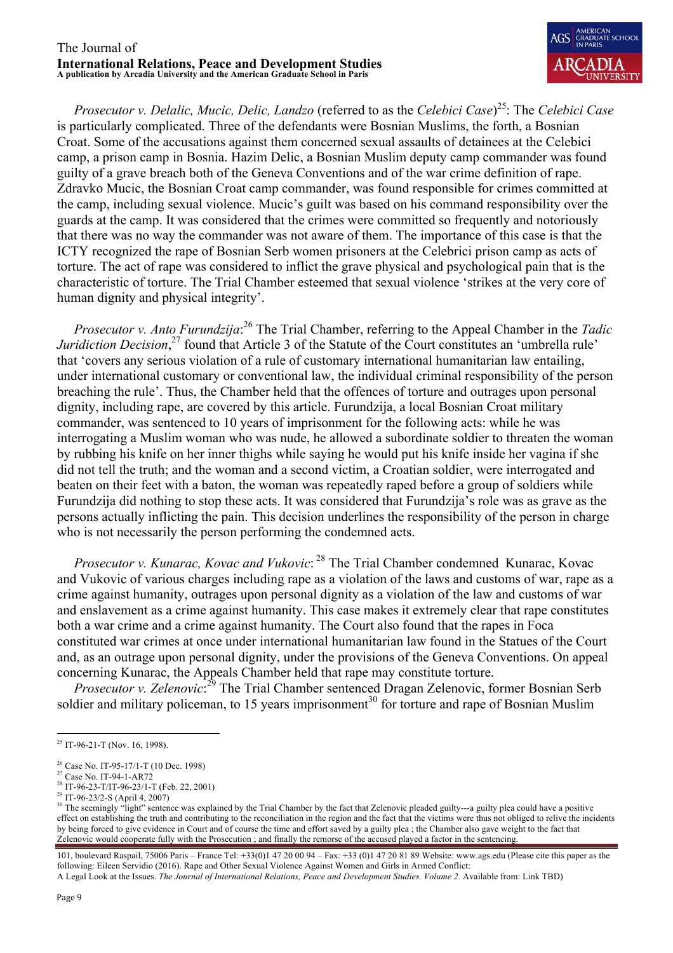

 *Prosecutor v. Delalic, Mucic, Delic, Landzo* (referred to as the *Celebici Case*) 25: The *Celebici Case* is particularly complicated. Three of the defendants were Bosnian Muslims, the forth, a Bosnian Croat. Some of the accusations against them concerned sexual assaults of detainees at the Celebici camp, a prison camp in Bosnia. Hazim Delic, a Bosnian Muslim deputy camp commander was found guilty of a grave breach both of the Geneva Conventions and of the war crime definition of rape. Zdravko Mucic, the Bosnian Croat camp commander, was found responsible for crimes committed at the camp, including sexual violence. Mucic's guilt was based on his command responsibility over the guards at the camp. It was considered that the crimes were committed so frequently and notoriously that there was no way the commander was not aware of them. The importance of this case is that the ICTY recognized the rape of Bosnian Serb women prisoners at the Celebrici prison camp as acts of torture. The act of rape was considered to inflict the grave physical and psychological pain that is the characteristic of torture. The Trial Chamber esteemed that sexual violence 'strikes at the very core of human dignity and physical integrity'.

 *Prosecutor v. Anto Furundzija*: <sup>26</sup> The Trial Chamber, referring to the Appeal Chamber in the *Tadic Juridiction Decision*<sup>27</sup> found that Article 3 of the Statute of the Court constitutes an 'umbrella rule' that 'covers any serious violation of a rule of customary international humanitarian law entailing, under international customary or conventional law, the individual criminal responsibility of the person breaching the rule'. Thus, the Chamber held that the offences of torture and outrages upon personal dignity, including rape, are covered by this article. Furundzija, a local Bosnian Croat military commander, was sentenced to 10 years of imprisonment for the following acts: while he was interrogating a Muslim woman who was nude, he allowed a subordinate soldier to threaten the woman by rubbing his knife on her inner thighs while saying he would put his knife inside her vagina if she did not tell the truth; and the woman and a second victim, a Croatian soldier, were interrogated and beaten on their feet with a baton, the woman was repeatedly raped before a group of soldiers while Furundzija did nothing to stop these acts. It was considered that Furundzija's role was as grave as the persons actually inflicting the pain. This decision underlines the responsibility of the person in charge who is not necessarily the person performing the condemned acts.

 *Prosecutor v. Kunarac, Kovac and Vukovic*: <sup>28</sup> The Trial Chamber condemned Kunarac, Kovac and Vukovic of various charges including rape as a violation of the laws and customs of war, rape as a crime against humanity, outrages upon personal dignity as a violation of the law and customs of war and enslavement as a crime against humanity. This case makes it extremely clear that rape constitutes both a war crime and a crime against humanity. The Court also found that the rapes in Foca constituted war crimes at once under international humanitarian law found in the Statues of the Court and, as an outrage upon personal dignity, under the provisions of the Geneva Conventions. On appeal concerning Kunarac, the Appeals Chamber held that rape may constitute torture.

*Prosecutor v. Zelenovic*:<sup>29</sup> The Trial Chamber sentenced Dragan Zelenovic, former Bosnian Serb soldier and military policeman, to 15 years imprisonment<sup>30</sup> for torture and rape of Bosnian Muslim

<sup>&</sup>lt;sup>25</sup> IT-96-21-T (Nov. 16, 1998).

<sup>26</sup> Case No. IT-95-17/1-T (10 Dec. 1998)

<sup>&</sup>lt;sup>27</sup> Case No. IT-94-1-AR72

<sup>&</sup>lt;sup>28</sup> IT-96-23-T/IT-96-23/1-T (Feb. 22, 2001)

<sup>29</sup> IT-96-23/2-S (April 4, 2007)

<sup>&</sup>lt;sup>30</sup> The seemingly "light" sentence was explained by the Trial Chamber by the fact that Zelenovic pleaded guilty---a guilty plea could have a positive effect on establishing the truth and contributing to the reconciliation in the region and the fact that the victims were thus not obliged to relive the incidents by being forced to give evidence in Court and of course the time and effort saved by a guilty plea ; the Chamber also gave weight to the fact that Zelenovic would cooperate fully with the Prosecution ; and finally the remorse of the accused played a factor in the sentencing.

<sup>101,</sup> boulevard Raspail, 75006 Paris – France Tel: +33(0)1 47 20 00 94 – Fax: +33 (0)1 47 20 81 89 Website: www.ags.edu (Please cite this paper as the following: Eileen Servidio (2016). Rape and Other Sexual Violence Against Women and Girls in Armed Conflict: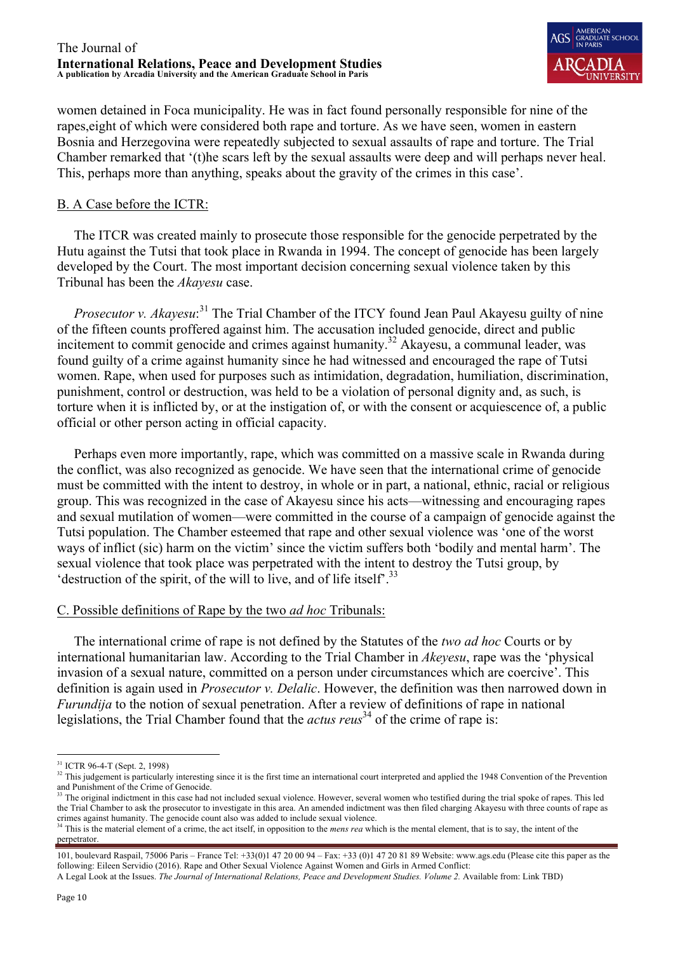

women detained in Foca municipality. He was in fact found personally responsible for nine of the rapes,eight of which were considered both rape and torture. As we have seen, women in eastern Bosnia and Herzegovina were repeatedly subjected to sexual assaults of rape and torture. The Trial Chamber remarked that '(t)he scars left by the sexual assaults were deep and will perhaps never heal. This, perhaps more than anything, speaks about the gravity of the crimes in this case'.

## B. A Case before the ICTR:

 The ITCR was created mainly to prosecute those responsible for the genocide perpetrated by the Hutu against the Tutsi that took place in Rwanda in 1994. The concept of genocide has been largely developed by the Court. The most important decision concerning sexual violence taken by this Tribunal has been the *Akayesu* case.

*Prosecutor v. Akayesu*:<sup>31</sup> The Trial Chamber of the ITCY found Jean Paul Akayesu guilty of nine of the fifteen counts proffered against him. The accusation included genocide, direct and public incitement to commit genocide and crimes against humanity.<sup>32</sup> Akayesu, a communal leader, was found guilty of a crime against humanity since he had witnessed and encouraged the rape of Tutsi women. Rape, when used for purposes such as intimidation, degradation, humiliation, discrimination, punishment, control or destruction, was held to be a violation of personal dignity and, as such, is torture when it is inflicted by, or at the instigation of, or with the consent or acquiescence of, a public official or other person acting in official capacity.

 Perhaps even more importantly, rape, which was committed on a massive scale in Rwanda during the conflict, was also recognized as genocide. We have seen that the international crime of genocide must be committed with the intent to destroy, in whole or in part, a national, ethnic, racial or religious group. This was recognized in the case of Akayesu since his acts—witnessing and encouraging rapes and sexual mutilation of women—were committed in the course of a campaign of genocide against the Tutsi population. The Chamber esteemed that rape and other sexual violence was 'one of the worst ways of inflict (sic) harm on the victim' since the victim suffers both 'bodily and mental harm'. The sexual violence that took place was perpetrated with the intent to destroy the Tutsi group, by 'destruction of the spirit, of the will to live, and of life itself'.<sup>33</sup>

## C. Possible definitions of Rape by the two *ad hoc* Tribunals:

 The international crime of rape is not defined by the Statutes of the *two ad hoc* Courts or by international humanitarian law. According to the Trial Chamber in *Akeyesu*, rape was the 'physical invasion of a sexual nature, committed on a person under circumstances which are coercive'. This definition is again used in *Prosecutor v. Delalic*. However, the definition was then narrowed down in *Furundija* to the notion of sexual penetration. After a review of definitions of rape in national legislations, the Trial Chamber found that the *actus reus*<sup>34</sup> of the crime of rape is:

 <sup>31</sup> ICTR 96-4-T (Sept. 2, 1998)

<sup>&</sup>lt;sup>32</sup> This judgement is particularly interesting since it is the first time an international court interpreted and applied the 1948 Convention of the Prevention and Punishment of the Crime of Genocide.

<sup>&</sup>lt;sup>33</sup> The original indictment in this case had not included sexual violence. However, several women who testified during the trial spoke of rapes. This led the Trial Chamber to ask the prosecutor to investigate in this area. An amended indictment was then filed charging Akayesu with three counts of rape as crimes against humanity. The genocide count also was added to include sexual violence.

<sup>&</sup>lt;sup>34</sup> This is the material element of a crime, the act itself, in opposition to the *mens rea* which is the mental element, that is to say, the intent of the perpetrator.

<sup>101,</sup> boulevard Raspail, 75006 Paris – France Tel: +33(0)1 47 20 00 94 – Fax: +33 (0)1 47 20 81 89 Website: www.ags.edu (Please cite this paper as the following: Eileen Servidio (2016). Rape and Other Sexual Violence Against Women and Girls in Armed Conflict:

A Legal Look at the Issues. *The Journal of International Relations, Peace and Development Studies. Volume 2.* Available from: Link TBD)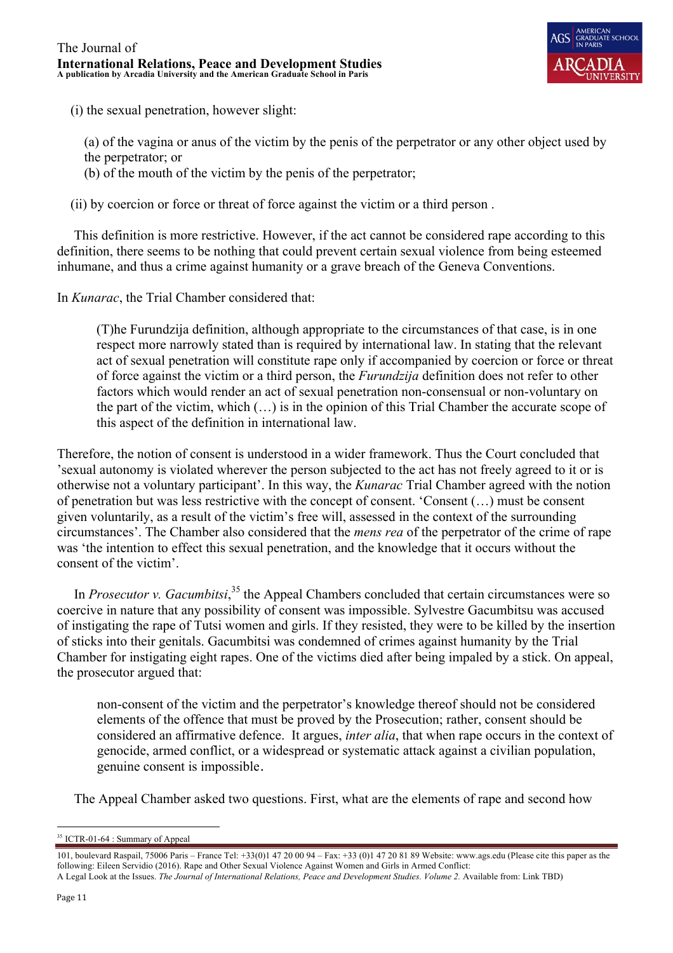

(i) the sexual penetration, however slight:

(a) of the vagina or anus of the victim by the penis of the perpetrator or any other object used by

- the perpetrator; or
- (b) of the mouth of the victim by the penis of the perpetrator;

(ii) by coercion or force or threat of force against the victim or a third person .

 This definition is more restrictive. However, if the act cannot be considered rape according to this definition, there seems to be nothing that could prevent certain sexual violence from being esteemed inhumane, and thus a crime against humanity or a grave breach of the Geneva Conventions.

In *Kunarac*, the Trial Chamber considered that:

(T)he Furundzija definition, although appropriate to the circumstances of that case, is in one respect more narrowly stated than is required by international law. In stating that the relevant act of sexual penetration will constitute rape only if accompanied by coercion or force or threat of force against the victim or a third person, the *Furundzija* definition does not refer to other factors which would render an act of sexual penetration non-consensual or non-voluntary on the part of the victim, which (…) is in the opinion of this Trial Chamber the accurate scope of this aspect of the definition in international law.

Therefore, the notion of consent is understood in a wider framework. Thus the Court concluded that 'sexual autonomy is violated wherever the person subjected to the act has not freely agreed to it or is otherwise not a voluntary participant'. In this way, the *Kunarac* Trial Chamber agreed with the notion of penetration but was less restrictive with the concept of consent. 'Consent (…) must be consent given voluntarily, as a result of the victim's free will, assessed in the context of the surrounding circumstances'. The Chamber also considered that the *mens rea* of the perpetrator of the crime of rape was 'the intention to effect this sexual penetration, and the knowledge that it occurs without the consent of the victim'.

In *Prosecutor v. Gacumbitsi*,<sup>35</sup> the Appeal Chambers concluded that certain circumstances were so coercive in nature that any possibility of consent was impossible. Sylvestre Gacumbitsu was accused of instigating the rape of Tutsi women and girls. If they resisted, they were to be killed by the insertion of sticks into their genitals. Gacumbitsi was condemned of crimes against humanity by the Trial Chamber for instigating eight rapes. One of the victims died after being impaled by a stick. On appeal, the prosecutor argued that:

non-consent of the victim and the perpetrator's knowledge thereof should not be considered elements of the offence that must be proved by the Prosecution; rather, consent should be considered an affirmative defence. It argues, *inter alia*, that when rape occurs in the context of genocide, armed conflict, or a widespread or systematic attack against a civilian population, genuine consent is impossible.

The Appeal Chamber asked two questions. First, what are the elements of rape and second how

<sup>&</sup>lt;sup>35</sup> ICTR-01-64 : Summary of Appeal

<sup>101,</sup> boulevard Raspail, 75006 Paris – France Tel: +33(0)1 47 20 00 94 – Fax: +33 (0)1 47 20 81 89 Website: www.ags.edu (Please cite this paper as the following: Eileen Servidio (2016). Rape and Other Sexual Violence Against Women and Girls in Armed Conflict: A Legal Look at the Issues. *The Journal of International Relations, Peace and Development Studies. Volume 2.* Available from: Link TBD)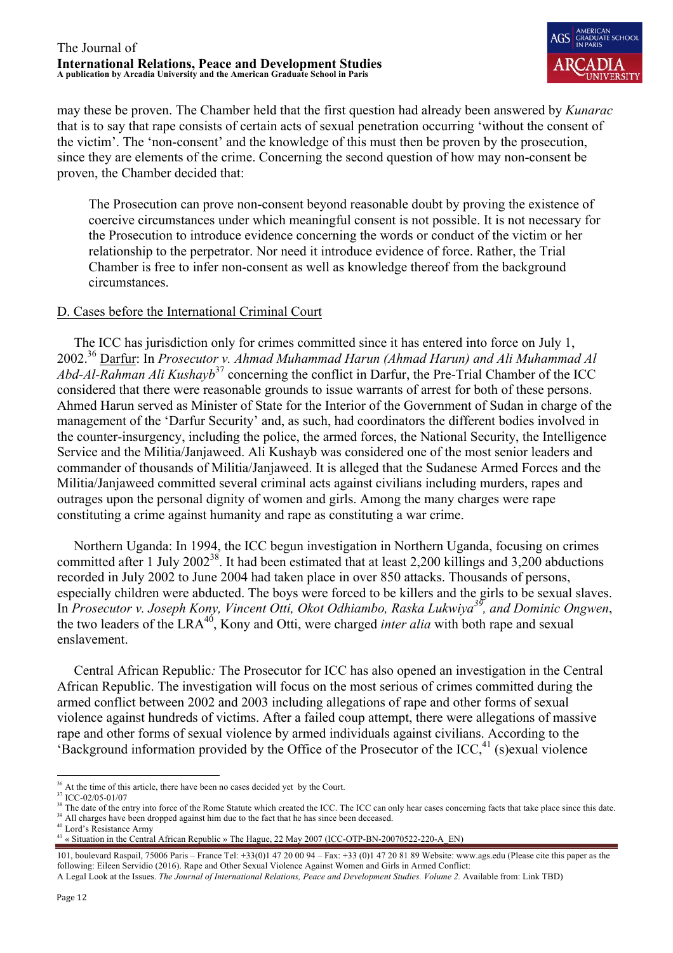

may these be proven. The Chamber held that the first question had already been answered by *Kunarac* that is to say that rape consists of certain acts of sexual penetration occurring 'without the consent of the victim'. The 'non-consent' and the knowledge of this must then be proven by the prosecution, since they are elements of the crime. Concerning the second question of how may non-consent be proven, the Chamber decided that:

The Prosecution can prove non-consent beyond reasonable doubt by proving the existence of coercive circumstances under which meaningful consent is not possible. It is not necessary for the Prosecution to introduce evidence concerning the words or conduct of the victim or her relationship to the perpetrator. Nor need it introduce evidence of force. Rather, the Trial Chamber is free to infer non-consent as well as knowledge thereof from the background circumstances.

## D. Cases before the International Criminal Court

 The ICC has jurisdiction only for crimes committed since it has entered into force on July 1, 2002.36 Darfur: In *Prosecutor v. Ahmad Muhammad Harun (Ahmad Harun) and Ali Muhammad Al Abd-Al-Rahman Ali Kushayb*<sup>37</sup> concerning the conflict in Darfur, the Pre-Trial Chamber of the ICC considered that there were reasonable grounds to issue warrants of arrest for both of these persons. Ahmed Harun served as Minister of State for the Interior of the Government of Sudan in charge of the management of the 'Darfur Security' and, as such, had coordinators the different bodies involved in the counter-insurgency, including the police, the armed forces, the National Security, the Intelligence Service and the Militia/Janjaweed. Ali Kushayb was considered one of the most senior leaders and commander of thousands of Militia/Janjaweed. It is alleged that the Sudanese Armed Forces and the Militia/Janjaweed committed several criminal acts against civilians including murders, rapes and outrages upon the personal dignity of women and girls. Among the many charges were rape constituting a crime against humanity and rape as constituting a war crime.

 Northern Uganda: In 1994, the ICC begun investigation in Northern Uganda, focusing on crimes committed after 1 July  $2002^{38}$ . It had been estimated that at least 2,200 killings and 3,200 abductions recorded in July 2002 to June 2004 had taken place in over 850 attacks. Thousands of persons, especially children were abducted. The boys were forced to be killers and the girls to be sexual slaves. In *Prosecutor v. Joseph Kony, Vincent Otti, Okot Odhiambo, Raska Lukwiya39, and Dominic Ongwen*, the two leaders of the LRA40, Kony and Otti, were charged *inter alia* with both rape and sexual enslavement.

 Central African Republic*:* The Prosecutor for ICC has also opened an investigation in the Central African Republic. The investigation will focus on the most serious of crimes committed during the armed conflict between 2002 and 2003 including allegations of rape and other forms of sexual violence against hundreds of victims. After a failed coup attempt, there were allegations of massive rape and other forms of sexual violence by armed individuals against civilians. According to the 'Background information provided by the Office of the Prosecutor of the ICC, $41$  (s)exual violence

<sup>&</sup>lt;sup>36</sup> At the time of this article, there have been no cases decided yet by the Court.

<sup>&</sup>lt;sup>37</sup> ICC-02/05-01/07

<sup>&</sup>lt;sup>38</sup> The date of the entry into force of the Rome Statute which created the ICC. The ICC can only hear cases concerning facts that take place since this date. <sup>39</sup> All charges have been dropped against him due to the fact that he has since been deceased.

<sup>40</sup> Lord's Resistance Army

<sup>&</sup>lt;sup>41</sup> « Situation in the Central African Republic » The Hague, 22 May 2007 (ICC-OTP-BN-20070522-220-A\_EN)

<sup>101,</sup> boulevard Raspail, 75006 Paris – France Tel: +33(0)1 47 20 00 94 – Fax: +33 (0)1 47 20 81 89 Website: www.ags.edu (Please cite this paper as the following: Eileen Servidio (2016). Rape and Other Sexual Violence Against Women and Girls in Armed Conflict:

A Legal Look at the Issues. *The Journal of International Relations, Peace and Development Studies. Volume 2.* Available from: Link TBD)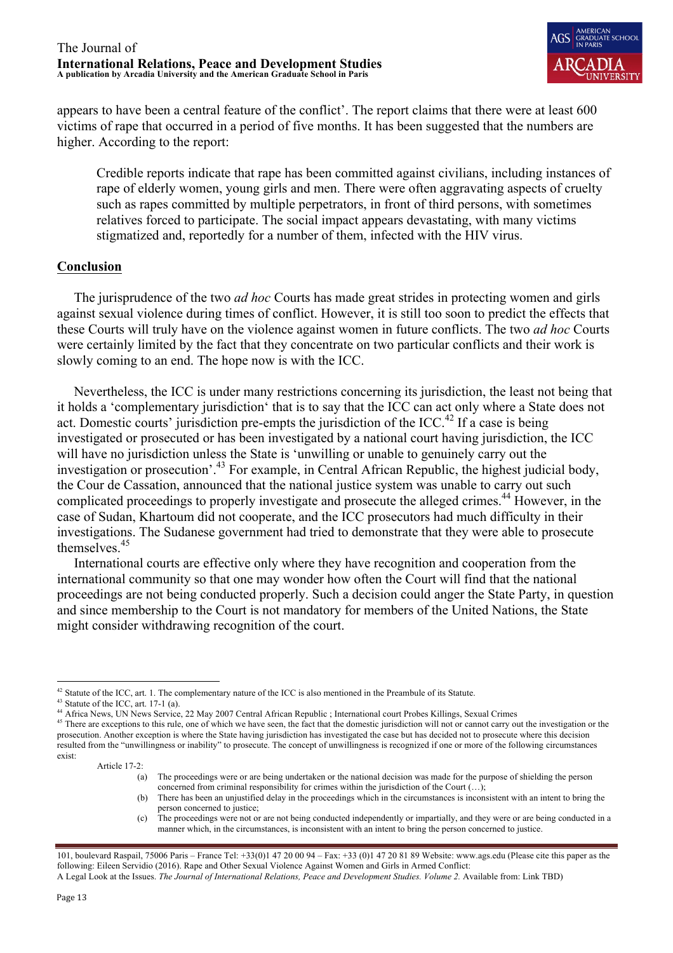

appears to have been a central feature of the conflict'. The report claims that there were at least 600 victims of rape that occurred in a period of five months. It has been suggested that the numbers are higher. According to the report:

Credible reports indicate that rape has been committed against civilians, including instances of rape of elderly women, young girls and men. There were often aggravating aspects of cruelty such as rapes committed by multiple perpetrators, in front of third persons, with sometimes relatives forced to participate. The social impact appears devastating, with many victims stigmatized and, reportedly for a number of them, infected with the HIV virus.

## **Conclusion**

 The jurisprudence of the two *ad hoc* Courts has made great strides in protecting women and girls against sexual violence during times of conflict. However, it is still too soon to predict the effects that these Courts will truly have on the violence against women in future conflicts. The two *ad hoc* Courts were certainly limited by the fact that they concentrate on two particular conflicts and their work is slowly coming to an end. The hope now is with the ICC.

 Nevertheless, the ICC is under many restrictions concerning its jurisdiction, the least not being that it holds a 'complementary jurisdiction' that is to say that the ICC can act only where a State does not act. Domestic courts' jurisdiction pre-empts the jurisdiction of the ICC.<sup>42</sup> If a case is being investigated or prosecuted or has been investigated by a national court having jurisdiction, the ICC will have no jurisdiction unless the State is 'unwilling or unable to genuinely carry out the investigation or prosecution'.<sup>43</sup> For example, in Central African Republic, the highest judicial body, the Cour de Cassation, announced that the national justice system was unable to carry out such complicated proceedings to properly investigate and prosecute the alleged crimes.<sup>44</sup> However, in the case of Sudan, Khartoum did not cooperate, and the ICC prosecutors had much difficulty in their investigations. The Sudanese government had tried to demonstrate that they were able to prosecute themselves.<sup>45</sup>

 International courts are effective only where they have recognition and cooperation from the international community so that one may wonder how often the Court will find that the national proceedings are not being conducted properly. Such a decision could anger the State Party, in question and since membership to the Court is not mandatory for members of the United Nations, the State might consider withdrawing recognition of the court.

(c) The proceedings were not or are not being conducted independently or impartially, and they were or are being conducted in a manner which, in the circumstances, is inconsistent with an intent to bring the person concerned to justice.

<sup>&</sup>lt;sup>42</sup> Statute of the ICC, art. 1. The complementary nature of the ICC is also mentioned in the Preambule of its Statute.

 $43$  Statute of the ICC, art. 17-1 (a).

<sup>44</sup> Africa News, UN News Service, 22 May 2007 Central African Republic ; International court Probes Killings, Sexual Crimes

<sup>&</sup>lt;sup>45</sup> There are exceptions to this rule, one of which we have seen, the fact that the domestic jurisdiction will not or cannot carry out the investigation or the prosecution. Another exception is where the State having jurisdiction has investigated the case but has decided not to prosecute where this decision resulted from the "unwillingness or inability" to prosecute. The concept of unwillingness is recognized if one or more of the following circumstances exist:

Article 17-2:

<sup>(</sup>a) The proceedings were or are being undertaken or the national decision was made for the purpose of shielding the person concerned from criminal responsibility for crimes within the jurisdiction of the Court (…);

<sup>(</sup>b) There has been an unjustified delay in the proceedings which in the circumstances is inconsistent with an intent to bring the person concerned to justice;

<sup>101,</sup> boulevard Raspail, 75006 Paris – France Tel: +33(0)1 47 20 00 94 – Fax: +33 (0)1 47 20 81 89 Website: www.ags.edu (Please cite this paper as the following: Eileen Servidio (2016). Rape and Other Sexual Violence Against Women and Girls in Armed Conflict: A Legal Look at the Issues. *The Journal of International Relations, Peace and Development Studies. Volume 2.* Available from: Link TBD)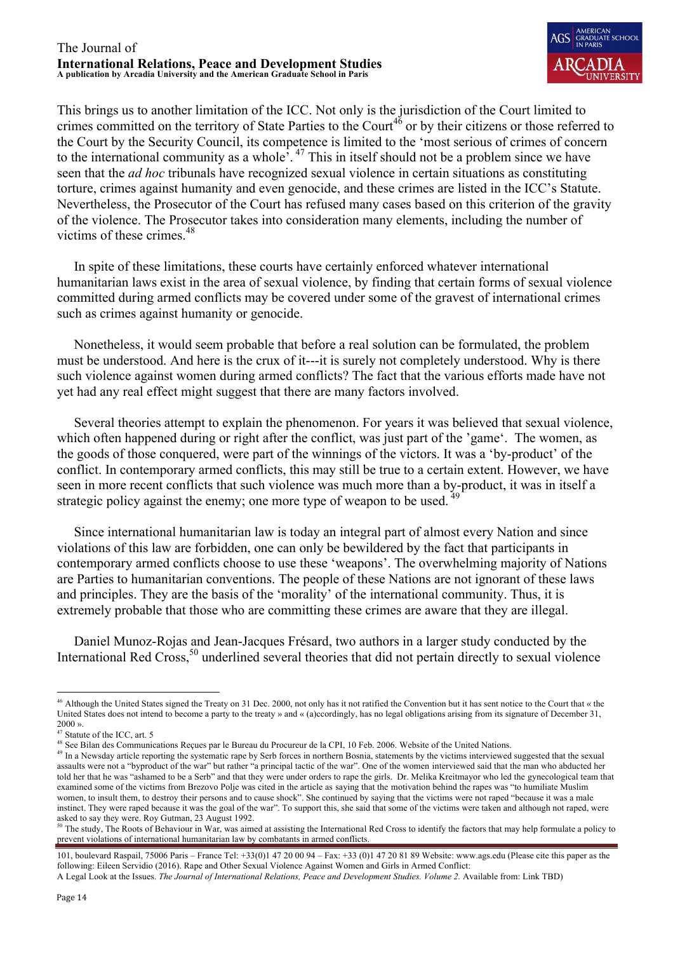

This brings us to another limitation of the ICC. Not only is the jurisdiction of the Court limited to crimes committed on the territory of State Parties to the Court<sup>46</sup> or by their citizens or those referred to the Court by the Security Council, its competence is limited to the 'most serious of crimes of concern to the international community as a whole'. <sup>47</sup> This in itself should not be a problem since we have seen that the *ad hoc* tribunals have recognized sexual violence in certain situations as constituting torture, crimes against humanity and even genocide, and these crimes are listed in the ICC's Statute. Nevertheless, the Prosecutor of the Court has refused many cases based on this criterion of the gravity of the violence. The Prosecutor takes into consideration many elements, including the number of victims of these crimes.<sup>48</sup>

 In spite of these limitations, these courts have certainly enforced whatever international humanitarian laws exist in the area of sexual violence, by finding that certain forms of sexual violence committed during armed conflicts may be covered under some of the gravest of international crimes such as crimes against humanity or genocide.

 Nonetheless, it would seem probable that before a real solution can be formulated, the problem must be understood. And here is the crux of it---it is surely not completely understood. Why is there such violence against women during armed conflicts? The fact that the various efforts made have not yet had any real effect might suggest that there are many factors involved.

 Several theories attempt to explain the phenomenon. For years it was believed that sexual violence, which often happened during or right after the conflict, was just part of the 'game'. The women, as the goods of those conquered, were part of the winnings of the victors. It was a 'by-product' of the conflict. In contemporary armed conflicts, this may still be true to a certain extent. However, we have seen in more recent conflicts that such violence was much more than a by-product, it was in itself a strategic policy against the enemy; one more type of weapon to be used.  $49$ 

 Since international humanitarian law is today an integral part of almost every Nation and since violations of this law are forbidden, one can only be bewildered by the fact that participants in contemporary armed conflicts choose to use these 'weapons'. The overwhelming majority of Nations are Parties to humanitarian conventions. The people of these Nations are not ignorant of these laws and principles. They are the basis of the 'morality' of the international community. Thus, it is extremely probable that those who are committing these crimes are aware that they are illegal.

 Daniel Munoz-Rojas and Jean-Jacques Frésard, two authors in a larger study conducted by the International Red Cross,<sup>50</sup> underlined several theories that did not pertain directly to sexual violence

<sup>&</sup>lt;sup>46</sup> Although the United States signed the Treaty on 31 Dec. 2000, not only has it not ratified the Convention but it has sent notice to the Court that « the United States does not intend to become a party to the treaty » and « (a)ccordingly, has no legal obligations arising from its signature of December 31, 2000 ».

<sup>47</sup> Statute of the ICC, art. 5

<sup>&</sup>lt;sup>48</sup> See Bilan des Communications Reçues par le Bureau du Procureur de la CPI, 10 Feb. 2006. Website of the United Nations.

<sup>&</sup>lt;sup>49</sup> In a Newsday article reporting the systematic rape by Serb forces in northern Bosnia, statements by the victims interviewed suggested that the sexual that the sexual assaults were not a "byproduct of the war" but rather "a principal tactic of the war". One of the women interviewed said that the man who abducted her told her that he was "ashamed to be a Serb" and that they were under orders to rape the girls. Dr. Melika Kreitmayor who led the gynecological team that examined some of the victims from Brezovo Polje was cited in the article as saying that the motivation behind the rapes was "to humiliate Muslim women, to insult them, to destroy their persons and to cause shock". She continued by saying that the victims were not raped "because it was a male instinct. They were raped because it was the goal of the war". To support this, she said that some of the victims were taken and although not raped, were asked to say they were. Roy Gutman, 23 August 1992.

 $50$  The study, The Roots of Behaviour in War, was aimed at assisting the International Red Cross to identify the factors that may help formulate a policy to prevent violations of international humanitarian law by combatants in armed conflicts.

<sup>101,</sup> boulevard Raspail, 75006 Paris – France Tel: +33(0)1 47 20 00 94 – Fax: +33 (0)1 47 20 81 89 Website: www.ags.edu (Please cite this paper as the following: Eileen Servidio (2016). Rape and Other Sexual Violence Against Women and Girls in Armed Conflict:

A Legal Look at the Issues. *The Journal of International Relations, Peace and Development Studies. Volume 2.* Available from: Link TBD)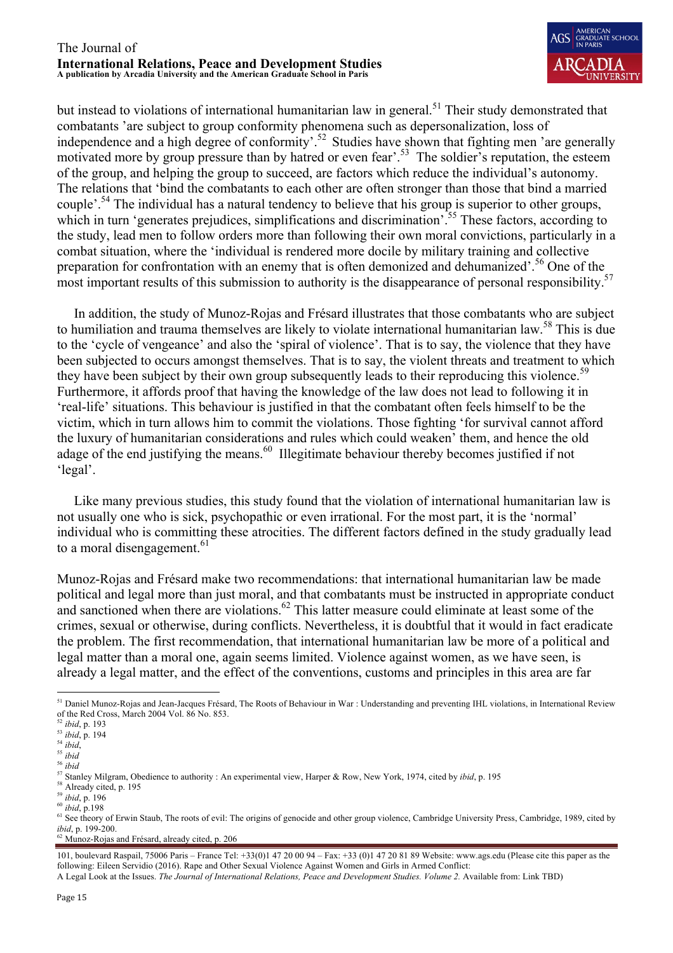

but instead to violations of international humanitarian law in general.<sup>51</sup> Their study demonstrated that combatants 'are subject to group conformity phenomena such as depersonalization, loss of independence and a high degree of conformity'.<sup>52</sup> Studies have shown that fighting men 'are generally motivated more by group pressure than by hatred or even fear'.<sup>53</sup> The soldier's reputation, the esteem of the group, and helping the group to succeed, are factors which reduce the individual's autonomy. The relations that 'bind the combatants to each other are often stronger than those that bind a married couple'.<sup>54</sup> The individual has a natural tendency to believe that his group is superior to other groups, which in turn 'generates prejudices, simplifications and discrimination'.<sup>55</sup> These factors, according to the study, lead men to follow orders more than following their own moral convictions, particularly in a combat situation, where the 'individual is rendered more docile by military training and collective preparation for confrontation with an enemy that is often demonized and dehumanized'.<sup>56</sup> One of the most important results of this submission to authority is the disappearance of personal responsibility.<sup>57</sup>

 In addition, the study of Munoz-Rojas and Frésard illustrates that those combatants who are subject to humiliation and trauma themselves are likely to violate international humanitarian law.<sup>58</sup> This is due to the 'cycle of vengeance' and also the 'spiral of violence'. That is to say, the violence that they have been subjected to occurs amongst themselves. That is to say, the violent threats and treatment to which they have been subject by their own group subsequently leads to their reproducing this violence.<sup>59</sup> Furthermore, it affords proof that having the knowledge of the law does not lead to following it in 'real-life' situations. This behaviour is justified in that the combatant often feels himself to be the victim, which in turn allows him to commit the violations. Those fighting 'for survival cannot afford the luxury of humanitarian considerations and rules which could weaken' them, and hence the old adage of the end justifying the means.<sup>60</sup> Illegitimate behaviour thereby becomes justified if not 'legal'.

 Like many previous studies, this study found that the violation of international humanitarian law is not usually one who is sick, psychopathic or even irrational. For the most part, it is the 'normal' individual who is committing these atrocities. The different factors defined in the study gradually lead to a moral disengagement. $61$ 

Munoz-Rojas and Frésard make two recommendations: that international humanitarian law be made political and legal more than just moral, and that combatants must be instructed in appropriate conduct and sanctioned when there are violations.<sup>62</sup> This latter measure could eliminate at least some of the crimes, sexual or otherwise, during conflicts. Nevertheless, it is doubtful that it would in fact eradicate the problem. The first recommendation, that international humanitarian law be more of a political and legal matter than a moral one, again seems limited. Violence against women, as we have seen, is already a legal matter, and the effect of the conventions, customs and principles in this area are far

 $62$  Munoz-Rojas and Frésard, already cited, p. 206

101, boulevard Raspail, 75006 Paris – France Tel: +33(0)1 47 20 00 94 – Fax: +33 (0)1 47 20 81 89 Website: www.ags.edu (Please cite this paper as the following: Eileen Servidio (2016). Rape and Other Sexual Violence Against Women and Girls in Armed Conflict: A Legal Look at the Issues. *The Journal of International Relations, Peace and Development Studies. Volume 2.* Available from: Link TBD)

<sup>&</sup>lt;sup>51</sup> Daniel Munoz-Rojas and Jean-Jacques Frésard, The Roots of Behaviour in War : Understanding and preventing IHL violations, in International Review of the Red Cross, March 2004 Vol. 86 No. 853.

<sup>52</sup> *ibid*, p. 193

<sup>53</sup> *ibid*, p. 194

<sup>54</sup> *ibid*, 55 *ibid*

<sup>56</sup> *ibid*

<sup>57</sup> Stanley Milgram, Obedience to authority : An experimental view, Harper & Row, New York, 1974, cited by *ibid*, p. 195

<sup>&</sup>lt;sup>58</sup> Already cited, p. 195

<sup>59</sup> *ibid*, p. 196

<sup>60</sup> *ibid*, p.198

<sup>&</sup>lt;sup>61</sup> See theory of Erwin Staub, The roots of evil: The origins of genocide and other group violence, Cambridge University Press, Cambridge, 1989, cited by *ibid*, p. 199-200.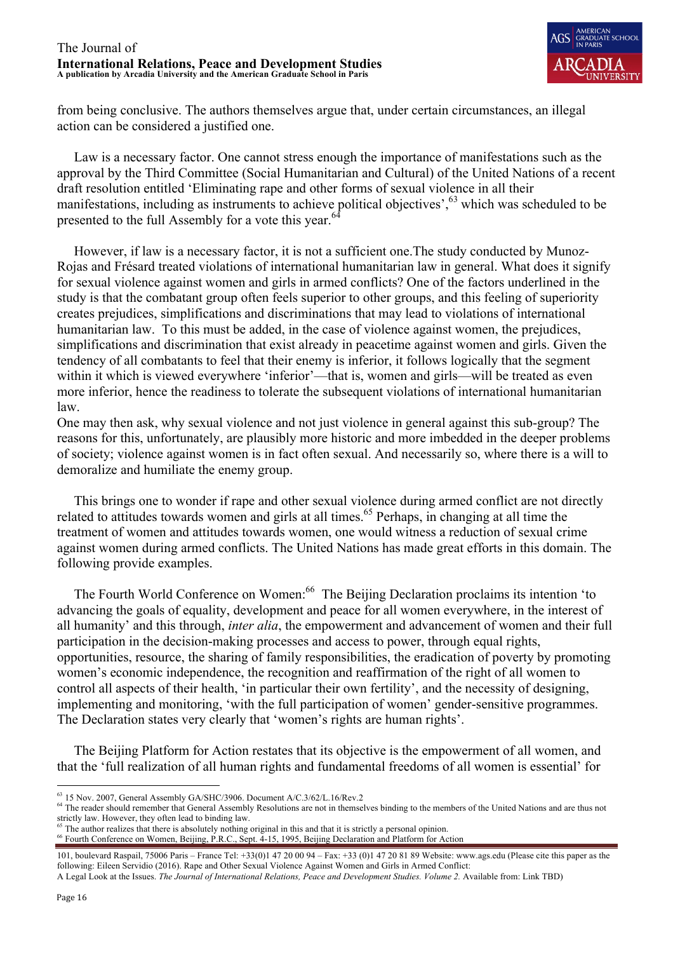

from being conclusive. The authors themselves argue that, under certain circumstances, an illegal action can be considered a justified one.

 Law is a necessary factor. One cannot stress enough the importance of manifestations such as the approval by the Third Committee (Social Humanitarian and Cultural) of the United Nations of a recent draft resolution entitled 'Eliminating rape and other forms of sexual violence in all their manifestations, including as instruments to achieve political objectives',<sup>63</sup> which was scheduled to be presented to the full Assembly for a vote this year. $64$ 

 However, if law is a necessary factor, it is not a sufficient one.The study conducted by Munoz-Rojas and Frésard treated violations of international humanitarian law in general. What does it signify for sexual violence against women and girls in armed conflicts? One of the factors underlined in the study is that the combatant group often feels superior to other groups, and this feeling of superiority creates prejudices, simplifications and discriminations that may lead to violations of international humanitarian law. To this must be added, in the case of violence against women, the prejudices, simplifications and discrimination that exist already in peacetime against women and girls. Given the tendency of all combatants to feel that their enemy is inferior, it follows logically that the segment within it which is viewed everywhere 'inferior'—that is, women and girls—will be treated as even more inferior, hence the readiness to tolerate the subsequent violations of international humanitarian law.

One may then ask, why sexual violence and not just violence in general against this sub-group? The reasons for this, unfortunately, are plausibly more historic and more imbedded in the deeper problems of society; violence against women is in fact often sexual. And necessarily so, where there is a will to demoralize and humiliate the enemy group.

 This brings one to wonder if rape and other sexual violence during armed conflict are not directly related to attitudes towards women and girls at all times.<sup>65</sup> Perhaps, in changing at all time the treatment of women and attitudes towards women, one would witness a reduction of sexual crime against women during armed conflicts. The United Nations has made great efforts in this domain. The following provide examples.

The Fourth World Conference on Women:<sup>66</sup> The Beijing Declaration proclaims its intention 'to advancing the goals of equality, development and peace for all women everywhere, in the interest of all humanity' and this through, *inter alia*, the empowerment and advancement of women and their full participation in the decision-making processes and access to power, through equal rights, opportunities, resource, the sharing of family responsibilities, the eradication of poverty by promoting women's economic independence, the recognition and reaffirmation of the right of all women to control all aspects of their health, 'in particular their own fertility', and the necessity of designing, implementing and monitoring, 'with the full participation of women' gender-sensitive programmes. The Declaration states very clearly that 'women's rights are human rights'.

 The Beijing Platform for Action restates that its objective is the empowerment of all women, and that the 'full realization of all human rights and fundamental freedoms of all women is essential' for

- 
- <sup>66</sup> Fourth Conference on Women, Beijing, P.R.C., Sept. 4-15, 1995, Beijing Declaration and Platform for Action

 <sup>63</sup> 15 Nov. 2007, General Assembly GA/SHC/3906. Document A/C.3/62/L.16/Rev.2

<sup>&</sup>lt;sup>64</sup> The reader should remember that General Assembly Resolutions are not in themselves binding to the members of the United Nations and are thus not strictly law. However, they often lead to binding law.<br><sup>65</sup> The author realizes that there is absolutely nothing original in this and that it is strictly a personal opinion.

<sup>101,</sup> boulevard Raspail, 75006 Paris – France Tel: +33(0)1 47 20 00 94 – Fax: +33 (0)1 47 20 81 89 Website: www.ags.edu (Please cite this paper as the following: Eileen Servidio (2016). Rape and Other Sexual Violence Against Women and Girls in Armed Conflict:

A Legal Look at the Issues. *The Journal of International Relations, Peace and Development Studies. Volume 2.* Available from: Link TBD)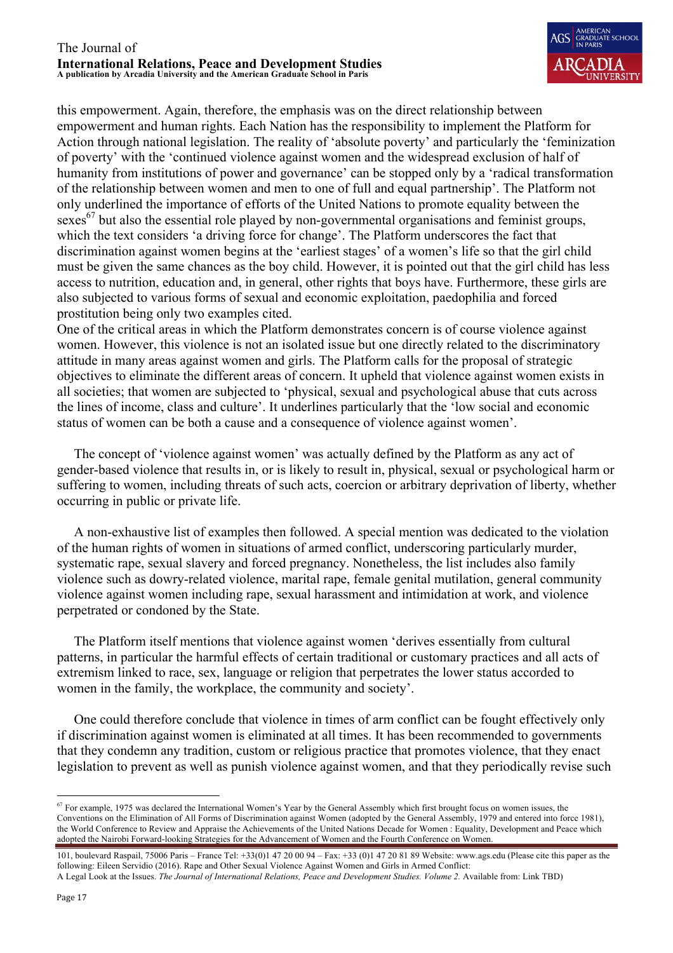

this empowerment. Again, therefore, the emphasis was on the direct relationship between empowerment and human rights. Each Nation has the responsibility to implement the Platform for Action through national legislation. The reality of 'absolute poverty' and particularly the 'feminization of poverty' with the 'continued violence against women and the widespread exclusion of half of humanity from institutions of power and governance' can be stopped only by a 'radical transformation of the relationship between women and men to one of full and equal partnership'. The Platform not only underlined the importance of efforts of the United Nations to promote equality between the sexes<sup>67</sup> but also the essential role played by non-governmental organisations and feminist groups, which the text considers 'a driving force for change'. The Platform underscores the fact that discrimination against women begins at the 'earliest stages' of a women's life so that the girl child must be given the same chances as the boy child. However, it is pointed out that the girl child has less access to nutrition, education and, in general, other rights that boys have. Furthermore, these girls are also subjected to various forms of sexual and economic exploitation, paedophilia and forced prostitution being only two examples cited.

One of the critical areas in which the Platform demonstrates concern is of course violence against women. However, this violence is not an isolated issue but one directly related to the discriminatory attitude in many areas against women and girls. The Platform calls for the proposal of strategic objectives to eliminate the different areas of concern. It upheld that violence against women exists in all societies; that women are subjected to 'physical, sexual and psychological abuse that cuts across the lines of income, class and culture'. It underlines particularly that the 'low social and economic status of women can be both a cause and a consequence of violence against women'.

 The concept of 'violence against women' was actually defined by the Platform as any act of gender-based violence that results in, or is likely to result in, physical, sexual or psychological harm or suffering to women, including threats of such acts, coercion or arbitrary deprivation of liberty, whether occurring in public or private life.

 A non-exhaustive list of examples then followed. A special mention was dedicated to the violation of the human rights of women in situations of armed conflict, underscoring particularly murder, systematic rape, sexual slavery and forced pregnancy. Nonetheless, the list includes also family violence such as dowry-related violence, marital rape, female genital mutilation, general community violence against women including rape, sexual harassment and intimidation at work, and violence perpetrated or condoned by the State.

 The Platform itself mentions that violence against women 'derives essentially from cultural patterns, in particular the harmful effects of certain traditional or customary practices and all acts of extremism linked to race, sex, language or religion that perpetrates the lower status accorded to women in the family, the workplace, the community and society'.

 One could therefore conclude that violence in times of arm conflict can be fought effectively only if discrimination against women is eliminated at all times. It has been recommended to governments that they condemn any tradition, custom or religious practice that promotes violence, that they enact legislation to prevent as well as punish violence against women, and that they periodically revise such

 $<sup>67</sup>$  For example, 1975 was declared the International Women's Year by the General Assembly which first brought focus on women issues, the</sup> Conventions on the Elimination of All Forms of Discrimination against Women (adopted by the General Assembly, 1979 and entered into force 1981), the World Conference to Review and Appraise the Achievements of the United Nations Decade for Women : Equality, Development and Peace which adopted the Nairobi Forward-looking Strategies for the Advancement of Women and the Fourth Conference on Women.

<sup>101,</sup> boulevard Raspail, 75006 Paris – France Tel: +33(0)1 47 20 00 94 – Fax: +33 (0)1 47 20 81 89 Website: www.ags.edu (Please cite this paper as the following: Eileen Servidio (2016). Rape and Other Sexual Violence Against Women and Girls in Armed Conflict: A Legal Look at the Issues. *The Journal of International Relations, Peace and Development Studies. Volume 2.* Available from: Link TBD)